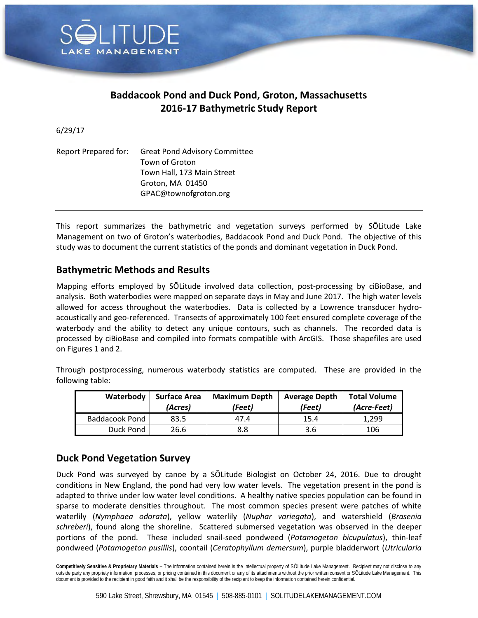

## **Baddacook Pond and Duck Pond, Groton, Massachusetts 2016-17 Bathymetric Study Report**

6/29/17

| Report Prepared for: | <b>Great Pond Advisory Committee</b> |  |
|----------------------|--------------------------------------|--|
|                      | Town of Groton                       |  |
|                      | Town Hall, 173 Main Street           |  |
|                      | Groton, MA 01450                     |  |
|                      | GPAC@townofgroton.org                |  |

This report summarizes the bathymetric and vegetation surveys performed by SŌLitude Lake Management on two of Groton's waterbodies, Baddacook Pond and Duck Pond. The objective of this study was to document the current statistics of the ponds and dominant vegetation in Duck Pond.

## **Bathymetric Methods and Results**

Mapping efforts employed by SŌLitude involved data collection, post-processing by ciBioBase, and analysis. Both waterbodies were mapped on separate days in May and June 2017. The high water levels allowed for access throughout the waterbodies. Data is collected by a Lowrence transducer hydroacoustically and geo-referenced. Transects of approximately 100 feet ensured complete coverage of the waterbody and the ability to detect any unique contours, such as channels. The recorded data is processed by ciBioBase and compiled into formats compatible with ArcGIS. Those shapefiles are used on Figures 1 and 2.

| Waterbody      | <b>Surface Area</b><br>(Acres) | <b>Maximum Depth</b><br>(Feet) | <b>Average Depth</b><br>(Feet) | <b>Total Volume</b><br>(Acre-Feet) |
|----------------|--------------------------------|--------------------------------|--------------------------------|------------------------------------|
| Baddacook Pond | 83.5                           | 47.4                           | 15.4                           | 1.299                              |
| Duck Pond      | 26.6                           | 8.8                            | 3.6                            | 106                                |

Through postprocessing, numerous waterbody statistics are computed. These are provided in the following table:

## **Duck Pond Vegetation Survey**

Duck Pond was surveyed by canoe by a SŌLitude Biologist on October 24, 2016. Due to drought conditions in New England, the pond had very low water levels. The vegetation present in the pond is adapted to thrive under low water level conditions. A healthy native species population can be found in sparse to moderate densities throughout. The most common species present were patches of white waterlily (*Nymphaea odorata*), yellow waterlily (*Nuphar variegata*), and watershield (*Brasenia schreberi*), found along the shoreline. Scattered submersed vegetation was observed in the deeper portions of the pond. These included snail-seed pondweed (*Potamogeton bicupulatus*), thin-leaf pondweed (*Potamogeton pusillis*), coontail (*Ceratophyllum demersum*), purple bladderwort (*Utricularia* 

**Competitively Sensitive & Proprietary Materials** – The information contained herein is the intellectual property of SŌLitude Lake Management. Recipient may not disclose to any outside party any propriety information, processes, or pricing contained in this document or any of its attachments without the prior written consent or SOLitude Lake Management. This document is provided to the recipient in good faith and it shall be the responsibility of the recipient to keep the information contained herein confidential.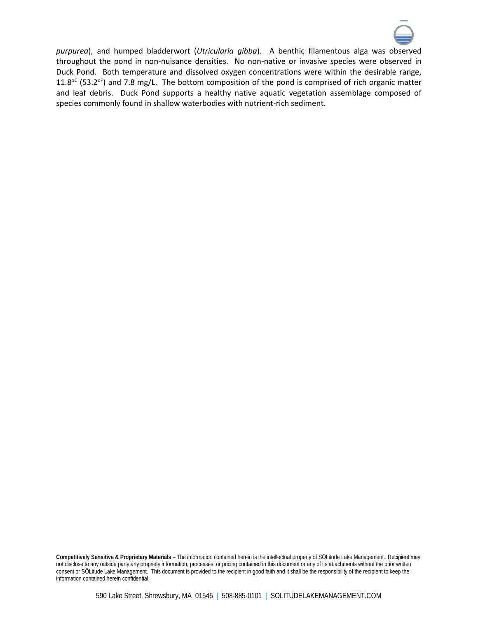

*purpurea*), and humped bladderwort (*Utricularia gibba*). A benthic filamentous alga was observed throughout the pond in non-nuisance densities. No non-native or invasive species were observed in Duck Pond. Both temperature and dissolved oxygen concentrations were within the desirable range, 11.8 $^{\circ}$  (53.2 $^{\circ}$ ) and 7.8 mg/L. The bottom composition of the pond is comprised of rich organic matter and leaf debris. Duck Pond supports a healthy native aquatic vegetation assemblage composed of species commonly found in shallow waterbodies with nutrient-rich sediment.

**Competitively Sensitive & Proprietary Materials** – The information contained herein is the intellectual property of SŌLitude Lake Management. Recipient may not disclose to any outside party any propriety information, processes, or pricing contained in this document or any of its attachments without the prior written consent or SŌLitude Lake Management. This document is provided to the recipient in good faith and it shall be the responsibility of the recipient to keep the information contained herein confidential.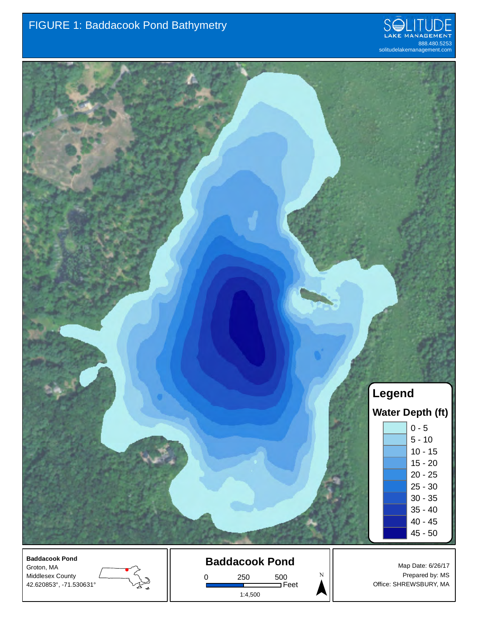



Middlesex County 42.620853°, -71.530631°



0 250 500 Feet 1:4,500

Prepared by: MS Office: SHREWSBURY, MA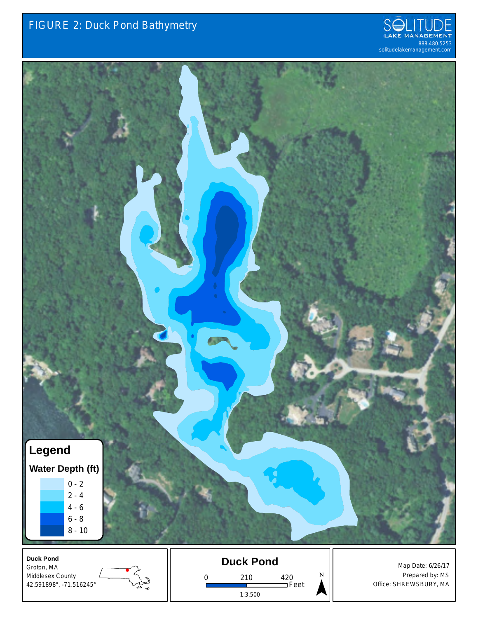



**Duck Pond** Groton, MA Middlesex County 42.591898°, -71.516245°





 $\sum_{\lambda}^{\lambda}$ 

Map Date: 6/26/17 Prepared by: MS Office: SHREWSBURY, MA